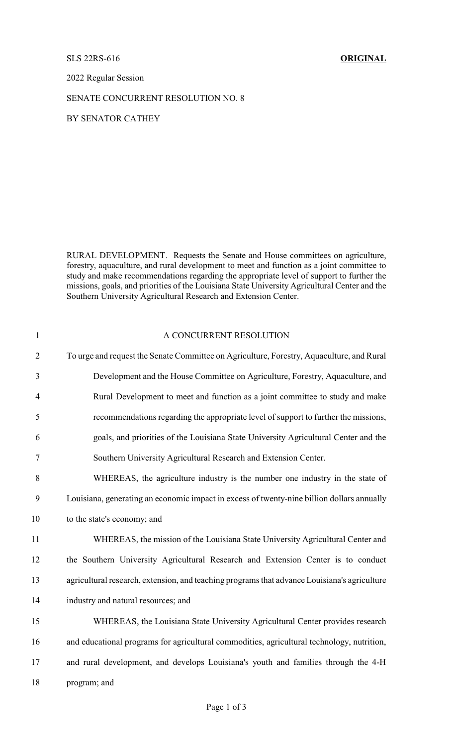## SLS 22RS-616 **ORIGINAL**

2022 Regular Session

SENATE CONCURRENT RESOLUTION NO. 8

BY SENATOR CATHEY

RURAL DEVELOPMENT. Requests the Senate and House committees on agriculture, forestry, aquaculture, and rural development to meet and function as a joint committee to study and make recommendations regarding the appropriate level of support to further the missions, goals, and priorities of the Louisiana State University Agricultural Center and the Southern University Agricultural Research and Extension Center.

| $\mathbf{1}$   | A CONCURRENT RESOLUTION                                                                      |
|----------------|----------------------------------------------------------------------------------------------|
| $\overline{2}$ | To urge and request the Senate Committee on Agriculture, Forestry, Aquaculture, and Rural    |
| $\overline{3}$ | Development and the House Committee on Agriculture, Forestry, Aquaculture, and               |
| $\overline{4}$ | Rural Development to meet and function as a joint committee to study and make                |
| 5              | recommendations regarding the appropriate level of support to further the missions,          |
| 6              | goals, and priorities of the Louisiana State University Agricultural Center and the          |
| $\tau$         | Southern University Agricultural Research and Extension Center.                              |
| $8\,$          | WHEREAS, the agriculture industry is the number one industry in the state of                 |
| 9              | Louisiana, generating an economic impact in excess of twenty-nine billion dollars annually   |
| 10             | to the state's economy; and                                                                  |
| 11             | WHEREAS, the mission of the Louisiana State University Agricultural Center and               |
| 12             | the Southern University Agricultural Research and Extension Center is to conduct             |
| 13             | agricultural research, extension, and teaching programs that advance Louisiana's agriculture |
| 14             | industry and natural resources; and                                                          |
| 15             | WHEREAS, the Louisiana State University Agricultural Center provides research                |
| 16             | and educational programs for agricultural commodities, agricultural technology, nutrition,   |
| 17             | and rural development, and develops Louisiana's youth and families through the 4-H           |
| 18             | program; and                                                                                 |
|                |                                                                                              |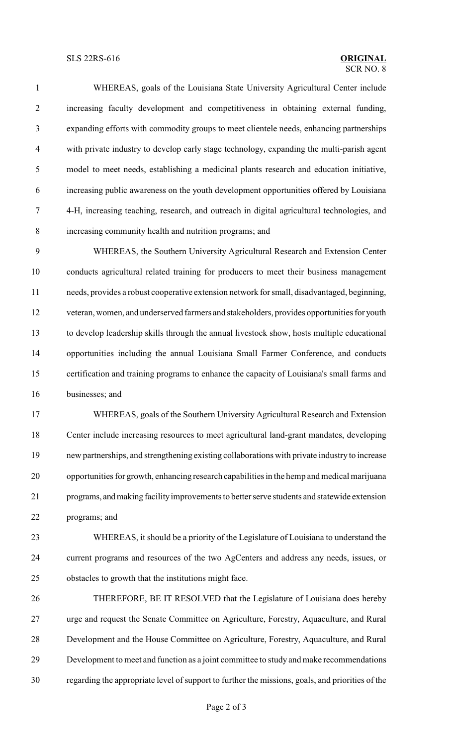## SLS 22RS-616 **ORIGINAL**

## $\overline{\text{SCR NO } 8}$

 WHEREAS, goals of the Louisiana State University Agricultural Center include increasing faculty development and competitiveness in obtaining external funding, expanding efforts with commodity groups to meet clientele needs, enhancing partnerships with private industry to develop early stage technology, expanding the multi-parish agent model to meet needs, establishing a medicinal plants research and education initiative, increasing public awareness on the youth development opportunities offered by Louisiana 4-H, increasing teaching, research, and outreach in digital agricultural technologies, and increasing community health and nutrition programs; and

 WHEREAS, the Southern University Agricultural Research and Extension Center conducts agricultural related training for producers to meet their business management needs, provides a robust cooperative extension network for small, disadvantaged, beginning, veteran, women, and underserved farmers and stakeholders, provides opportunities for youth to develop leadership skills through the annual livestock show, hosts multiple educational opportunities including the annual Louisiana Small Farmer Conference, and conducts certification and training programs to enhance the capacity of Louisiana's small farms and businesses; and

 WHEREAS, goals of the Southern University Agricultural Research and Extension Center include increasing resources to meet agricultural land-grant mandates, developing new partnerships, and strengthening existing collaborations with private industry to increase opportunities for growth, enhancing research capabilities in the hemp and medical marijuana programs, andmaking facilityimprovements to better serve students and statewide extension programs; and

 WHEREAS, it should be a priority of the Legislature of Louisiana to understand the current programs and resources of the two AgCenters and address any needs, issues, or obstacles to growth that the institutions might face.

 THEREFORE, BE IT RESOLVED that the Legislature of Louisiana does hereby urge and request the Senate Committee on Agriculture, Forestry, Aquaculture, and Rural Development and the House Committee on Agriculture, Forestry, Aquaculture, and Rural Development to meet and function as a joint committee to study and make recommendations regarding the appropriate level of support to further the missions, goals, and priorities of the